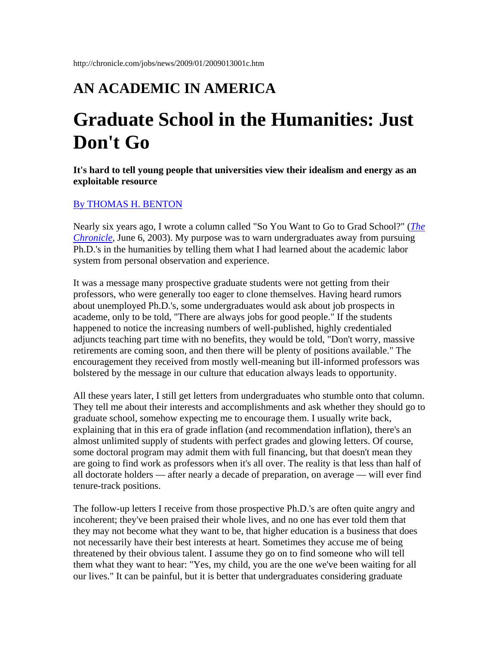## **AN ACADEMIC IN AMERICA**

## **Graduate School in the Humanities: Just Don't Go**

**It's hard to tell young people that universities view their idealism and energy as an exploitable resource**

## [By THOMAS H. BENTON](mailto:careers@chronicle.com)

Nearly six years ago, I wrote a column called "So You Want to Go to Grad School?" (*[The](http://chronicle.com/jobs/news/2003/06/2003060301c.htm)  [Chronicle](http://chronicle.com/jobs/news/2003/06/2003060301c.htm),* June 6, 2003). My purpose was to warn undergraduates away from pursuing Ph.D.'s in the humanities by telling them what I had learned about the academic labor system from personal observation and experience.

It was a message many prospective graduate students were not getting from their professors, who were generally too eager to clone themselves. Having heard rumors about unemployed Ph.D.'s, some undergraduates would ask about job prospects in academe, only to be told, "There are always jobs for good people." If the students happened to notice the increasing numbers of well-published, highly credentialed adjuncts teaching part time with no benefits, they would be told, "Don't worry, massive retirements are coming soon, and then there will be plenty of positions available." The encouragement they received from mostly well-meaning but ill-informed professors was bolstered by the message in our culture that education always leads to opportunity.

All these years later, I still get letters from undergraduates who stumble onto that column. They tell me about their interests and accomplishments and ask whether they should go to graduate school, somehow expecting me to encourage them. I usually write back, explaining that in this era of grade inflation (and recommendation inflation), there's an almost unlimited supply of students with perfect grades and glowing letters. Of course, some doctoral program may admit them with full financing, but that doesn't mean they are going to find work as professors when it's all over. The reality is that less than half of all doctorate holders — after nearly a decade of preparation, on average — will ever find tenure-track positions.

The follow-up letters I receive from those prospective Ph.D.'s are often quite angry and incoherent; they've been praised their whole lives, and no one has ever told them that they may not become what they want to be, that higher education is a business that does not necessarily have their best interests at heart. Sometimes they accuse me of being threatened by their obvious talent. I assume they go on to find someone who will tell them what they want to hear: "Yes, my child, you are the one we've been waiting for all our lives." It can be painful, but it is better that undergraduates considering graduate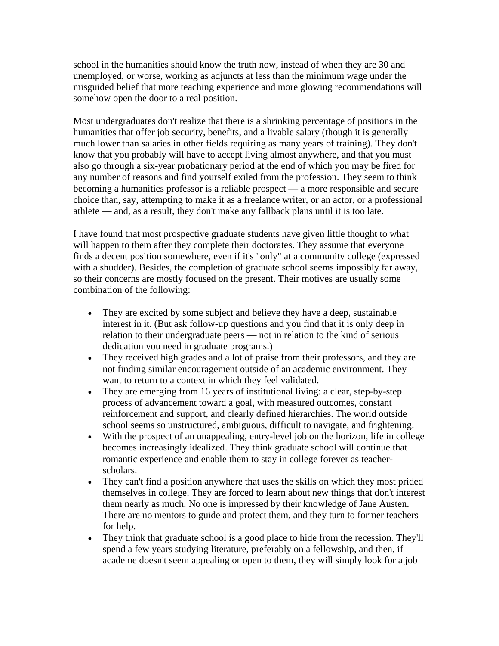school in the humanities should know the truth now, instead of when they are 30 and unemployed, or worse, working as adjuncts at less than the minimum wage under the misguided belief that more teaching experience and more glowing recommendations will somehow open the door to a real position.

Most undergraduates don't realize that there is a shrinking percentage of positions in the humanities that offer job security, benefits, and a livable salary (though it is generally much lower than salaries in other fields requiring as many years of training). They don't know that you probably will have to accept living almost anywhere, and that you must also go through a six-year probationary period at the end of which you may be fired for any number of reasons and find yourself exiled from the profession. They seem to think becoming a humanities professor is a reliable prospect — a more responsible and secure choice than, say, attempting to make it as a freelance writer, or an actor, or a professional athlete — and, as a result, they don't make any fallback plans until it is too late.

I have found that most prospective graduate students have given little thought to what will happen to them after they complete their doctorates. They assume that everyone finds a decent position somewhere, even if it's "only" at a community college (expressed with a shudder). Besides, the completion of graduate school seems impossibly far away, so their concerns are mostly focused on the present. Their motives are usually some combination of the following:

- They are excited by some subject and believe they have a deep, sustainable interest in it. (But ask follow-up questions and you find that it is only deep in relation to their undergraduate peers — not in relation to the kind of serious dedication you need in graduate programs.)
- They received high grades and a lot of praise from their professors, and they are not finding similar encouragement outside of an academic environment. They want to return to a context in which they feel validated.
- They are emerging from 16 years of institutional living: a clear, step-by-step process of advancement toward a goal, with measured outcomes, constant reinforcement and support, and clearly defined hierarchies. The world outside school seems so unstructured, ambiguous, difficult to navigate, and frightening.
- With the prospect of an unappealing, entry-level job on the horizon, life in college becomes increasingly idealized. They think graduate school will continue that romantic experience and enable them to stay in college forever as teacherscholars.
- They can't find a position anywhere that uses the skills on which they most prided themselves in college. They are forced to learn about new things that don't interest them nearly as much. No one is impressed by their knowledge of Jane Austen. There are no mentors to guide and protect them, and they turn to former teachers for help.
- They think that graduate school is a good place to hide from the recession. They'll spend a few years studying literature, preferably on a fellowship, and then, if academe doesn't seem appealing or open to them, they will simply look for a job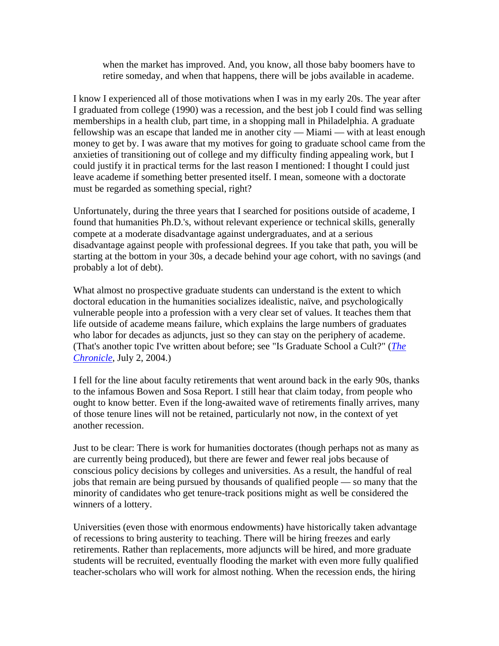when the market has improved. And, you know, all those baby boomers have to retire someday, and when that happens, there will be jobs available in academe.

I know I experienced all of those motivations when I was in my early 20s. The year after I graduated from college (1990) was a recession, and the best job I could find was selling memberships in a health club, part time, in a shopping mall in Philadelphia. A graduate fellowship was an escape that landed me in another city — Miami — with at least enough money to get by. I was aware that my motives for going to graduate school came from the anxieties of transitioning out of college and my difficulty finding appealing work, but I could justify it in practical terms for the last reason I mentioned: I thought I could just leave academe if something better presented itself. I mean, someone with a doctorate must be regarded as something special, right?

Unfortunately, during the three years that I searched for positions outside of academe, I found that humanities Ph.D.'s, without relevant experience or technical skills, generally compete at a moderate disadvantage against undergraduates, and at a serious disadvantage against people with professional degrees. If you take that path, you will be starting at the bottom in your 30s, a decade behind your age cohort, with no savings (and probably a lot of debt).

What almost no prospective graduate students can understand is the extent to which doctoral education in the humanities socializes idealistic, naïve, and psychologically vulnerable people into a profession with a very clear set of values. It teaches them that life outside of academe means failure, which explains the large numbers of graduates who labor for decades as adjuncts, just so they can stay on the periphery of academe. (That's another topic I've written about before; see "Is Graduate School a Cult?" (*[The](http://chronicle.com/jobs/news/2004/06/2004062801c.htm)  [Chronicle](http://chronicle.com/jobs/news/2004/06/2004062801c.htm)*, July 2, 2004.)

I fell for the line about faculty retirements that went around back in the early 90s, thanks to the infamous Bowen and Sosa Report. I still hear that claim today, from people who ought to know better. Even if the long-awaited wave of retirements finally arrives, many of those tenure lines will not be retained, particularly not now, in the context of yet another recession.

Just to be clear: There is work for humanities doctorates (though perhaps not as many as are currently being produced), but there are fewer and fewer real jobs because of conscious policy decisions by colleges and universities. As a result, the handful of real jobs that remain are being pursued by thousands of qualified people — so many that the minority of candidates who get tenure-track positions might as well be considered the winners of a lottery.

Universities (even those with enormous endowments) have historically taken advantage of recessions to bring austerity to teaching. There will be hiring freezes and early retirements. Rather than replacements, more adjuncts will be hired, and more graduate students will be recruited, eventually flooding the market with even more fully qualified teacher-scholars who will work for almost nothing. When the recession ends, the hiring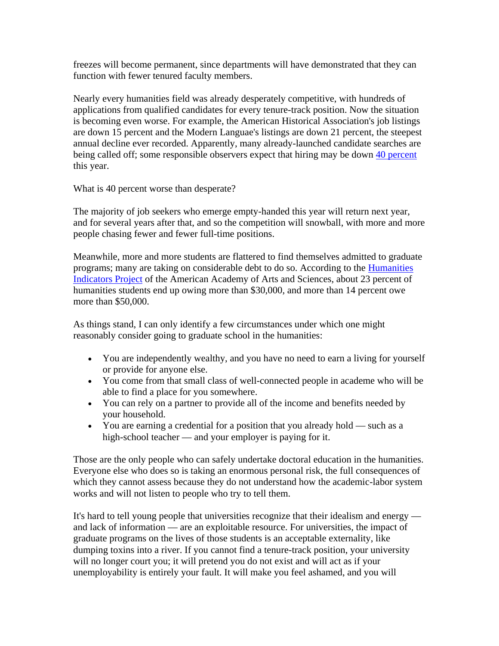freezes will become permanent, since departments will have demonstrated that they can function with fewer tenured faculty members.

Nearly every humanities field was already desperately competitive, with hundreds of applications from qualified candidates for every tenure-track position. Now the situation is becoming even worse. For example, the American Historical Association's job listings are down 15 percent and the Modern Languae's listings are down 21 percent, the steepest annual decline ever recorded. Apparently, many already-launched candidate searches are being called off; some responsible observers expect that hiring may be down [40 percent](http://chronicle.com/review/brainstorm/katz/the-state-of-history-and-the-history-of-state) this year.

What is 40 percent worse than desperate?

The majority of job seekers who emerge empty-handed this year will return next year, and for several years after that, and so the competition will snowball, with more and more people chasing fewer and fewer full-time positions.

Meanwhile, more and more students are flattered to find themselves admitted to graduate programs; many are taking on considerable debt to do so. According to the **Humanities** [Indicators Project](http://humanitiesindicators.org/) of the American Academy of Arts and Sciences, about 23 percent of humanities students end up owing more than \$30,000, and more than 14 percent owe more than \$50,000.

As things stand, I can only identify a few circumstances under which one might reasonably consider going to graduate school in the humanities:

- You are independently wealthy, and you have no need to earn a living for yourself or provide for anyone else.
- You come from that small class of well-connected people in academe who will be able to find a place for you somewhere.
- You can rely on a partner to provide all of the income and benefits needed by your household.
- You are earning a credential for a position that you already hold such as a high-school teacher — and your employer is paying for it.

Those are the only people who can safely undertake doctoral education in the humanities. Everyone else who does so is taking an enormous personal risk, the full consequences of which they cannot assess because they do not understand how the academic-labor system works and will not listen to people who try to tell them.

It's hard to tell young people that universities recognize that their idealism and energy and lack of information — are an exploitable resource. For universities, the impact of graduate programs on the lives of those students is an acceptable externality, like dumping toxins into a river. If you cannot find a tenure-track position, your university will no longer court you; it will pretend you do not exist and will act as if your unemployability is entirely your fault. It will make you feel ashamed, and you will